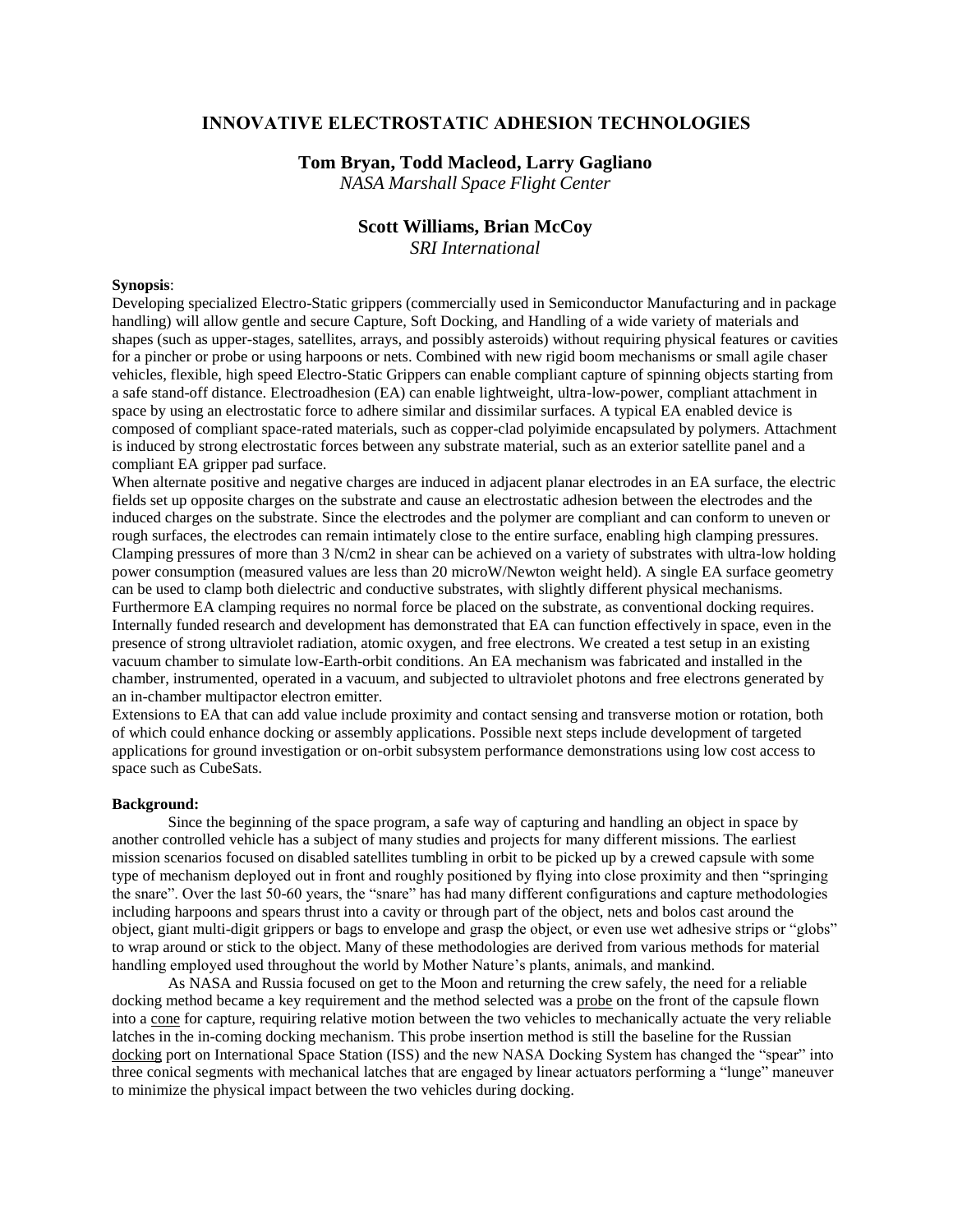## **INNOVATIVE ELECTROSTATIC ADHESION TECHNOLOGIES**

## **Tom Bryan, Todd Macleod, Larry Gagliano**

*NASA Marshall Space Flight Center*

# **Scott Williams, Brian McCoy**

*SRI International*

### **Synopsis**:

Developing specialized Electro-Static grippers (commercially used in Semiconductor Manufacturing and in package handling) will allow gentle and secure Capture, Soft Docking, and Handling of a wide variety of materials and shapes (such as upper-stages, satellites, arrays, and possibly asteroids) without requiring physical features or cavities for a pincher or probe or using harpoons or nets. Combined with new rigid boom mechanisms or small agile chaser vehicles, flexible, high speed Electro-Static Grippers can enable compliant capture of spinning objects starting from a safe stand-off distance. Electroadhesion (EA) can enable lightweight, ultra-low-power, compliant attachment in space by using an electrostatic force to adhere similar and dissimilar surfaces. A typical EA enabled device is composed of compliant space-rated materials, such as copper-clad polyimide encapsulated by polymers. Attachment is induced by strong electrostatic forces between any substrate material, such as an exterior satellite panel and a compliant EA gripper pad surface.

When alternate positive and negative charges are induced in adjacent planar electrodes in an EA surface, the electric fields set up opposite charges on the substrate and cause an electrostatic adhesion between the electrodes and the induced charges on the substrate. Since the electrodes and the polymer are compliant and can conform to uneven or rough surfaces, the electrodes can remain intimately close to the entire surface, enabling high clamping pressures. Clamping pressures of more than 3 N/cm2 in shear can be achieved on a variety of substrates with ultra-low holding power consumption (measured values are less than 20 microW/Newton weight held). A single EA surface geometry can be used to clamp both dielectric and conductive substrates, with slightly different physical mechanisms. Furthermore EA clamping requires no normal force be placed on the substrate, as conventional docking requires. Internally funded research and development has demonstrated that EA can function effectively in space, even in the presence of strong ultraviolet radiation, atomic oxygen, and free electrons. We created a test setup in an existing vacuum chamber to simulate low-Earth-orbit conditions. An EA mechanism was fabricated and installed in the chamber, instrumented, operated in a vacuum, and subjected to ultraviolet photons and free electrons generated by an in-chamber multipactor electron emitter.

Extensions to EA that can add value include proximity and contact sensing and transverse motion or rotation, both of which could enhance docking or assembly applications. Possible next steps include development of targeted applications for ground investigation or on-orbit subsystem performance demonstrations using low cost access to space such as CubeSats.

## **Background:**

Since the beginning of the space program, a safe way of capturing and handling an object in space by another controlled vehicle has a subject of many studies and projects for many different missions. The earliest mission scenarios focused on disabled satellites tumbling in orbit to be picked up by a crewed capsule with some type of mechanism deployed out in front and roughly positioned by flying into close proximity and then "springing the snare". Over the last 50-60 years, the "snare" has had many different configurations and capture methodologies including harpoons and spears thrust into a cavity or through part of the object, nets and bolos cast around the object, giant multi-digit grippers or bags to envelope and grasp the object, or even use wet adhesive strips or "globs" to wrap around or stick to the object. Many of these methodologies are derived from various methods for material handling employed used throughout the world by Mother Nature's plants, animals, and mankind.

As NASA and Russia focused on get to the Moon and returning the crew safely, the need for a reliable docking method became a key requirement and the method selected was a probe on the front of the capsule flown into a cone for capture, requiring relative motion between the two vehicles to mechanically actuate the very reliable latches in the in-coming docking mechanism. This probe insertion method is still the baseline for the Russian docking port on International Space Station (ISS) and the new NASA Docking System has changed the "spear" into three conical segments with mechanical latches that are engaged by linear actuators performing a "lunge" maneuver to minimize the physical impact between the two vehicles during docking.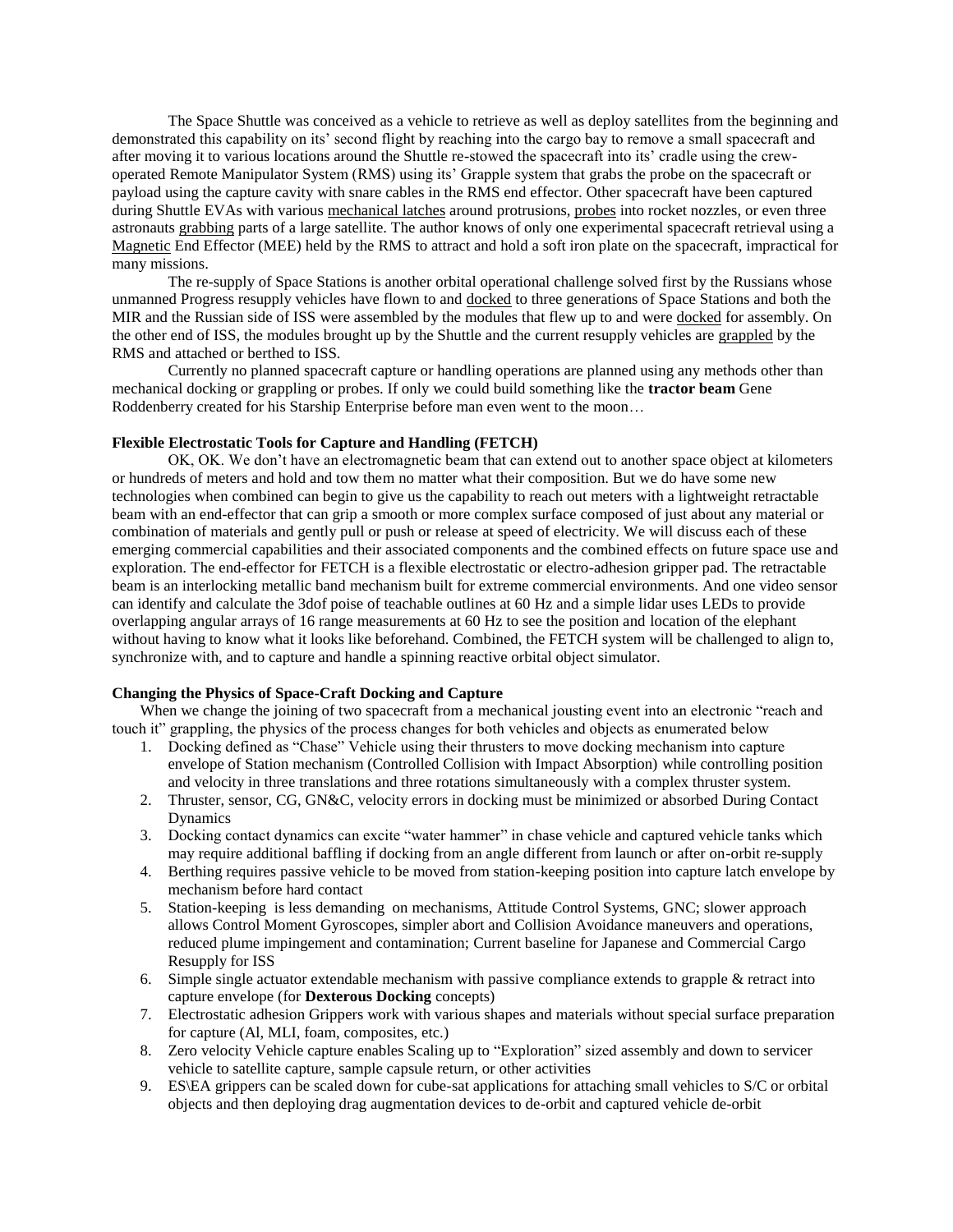The Space Shuttle was conceived as a vehicle to retrieve as well as deploy satellites from the beginning and demonstrated this capability on its' second flight by reaching into the cargo bay to remove a small spacecraft and after moving it to various locations around the Shuttle re-stowed the spacecraft into its' cradle using the crewoperated Remote Manipulator System (RMS) using its' Grapple system that grabs the probe on the spacecraft or payload using the capture cavity with snare cables in the RMS end effector. Other spacecraft have been captured during Shuttle EVAs with various mechanical latches around protrusions, probes into rocket nozzles, or even three astronauts grabbing parts of a large satellite. The author knows of only one experimental spacecraft retrieval using a Magnetic End Effector (MEE) held by the RMS to attract and hold a soft iron plate on the spacecraft, impractical for many missions.

The re-supply of Space Stations is another orbital operational challenge solved first by the Russians whose unmanned Progress resupply vehicles have flown to and docked to three generations of Space Stations and both the MIR and the Russian side of ISS were assembled by the modules that flew up to and were docked for assembly. On the other end of ISS, the modules brought up by the Shuttle and the current resupply vehicles are grappled by the RMS and attached or berthed to ISS.

Currently no planned spacecraft capture or handling operations are planned using any methods other than mechanical docking or grappling or probes. If only we could build something like the **tractor beam** Gene Roddenberry created for his Starship Enterprise before man even went to the moon…

#### **Flexible Electrostatic Tools for Capture and Handling (FETCH)**

OK, OK. We don't have an electromagnetic beam that can extend out to another space object at kilometers or hundreds of meters and hold and tow them no matter what their composition. But we do have some new technologies when combined can begin to give us the capability to reach out meters with a lightweight retractable beam with an end-effector that can grip a smooth or more complex surface composed of just about any material or combination of materials and gently pull or push or release at speed of electricity. We will discuss each of these emerging commercial capabilities and their associated components and the combined effects on future space use and exploration. The end-effector for FETCH is a flexible electrostatic or electro-adhesion gripper pad. The retractable beam is an interlocking metallic band mechanism built for extreme commercial environments. And one video sensor can identify and calculate the 3dof poise of teachable outlines at 60 Hz and a simple lidar uses LEDs to provide overlapping angular arrays of 16 range measurements at 60 Hz to see the position and location of the elephant without having to know what it looks like beforehand. Combined, the FETCH system will be challenged to align to, synchronize with, and to capture and handle a spinning reactive orbital object simulator.

## **Changing the Physics of Space-Craft Docking and Capture**

When we change the joining of two spacecraft from a mechanical jousting event into an electronic "reach and touch it" grappling, the physics of the process changes for both vehicles and objects as enumerated below

- 1. Docking defined as "Chase" Vehicle using their thrusters to move docking mechanism into capture envelope of Station mechanism (Controlled Collision with Impact Absorption) while controlling position and velocity in three translations and three rotations simultaneously with a complex thruster system.
- 2. Thruster, sensor, CG, GN&C, velocity errors in docking must be minimized or absorbed During Contact Dynamics
- 3. Docking contact dynamics can excite "water hammer" in chase vehicle and captured vehicle tanks which may require additional baffling if docking from an angle different from launch or after on-orbit re-supply
- 4. Berthing requires passive vehicle to be moved from station-keeping position into capture latch envelope by mechanism before hard contact
- 5. Station-keeping is less demanding on mechanisms, Attitude Control Systems, GNC; slower approach allows Control Moment Gyroscopes, simpler abort and Collision Avoidance maneuvers and operations, reduced plume impingement and contamination; Current baseline for Japanese and Commercial Cargo Resupply for ISS
- 6. Simple single actuator extendable mechanism with passive compliance extends to grapple & retract into capture envelope (for **Dexterous Docking** concepts)
- 7. Electrostatic adhesion Grippers work with various shapes and materials without special surface preparation for capture (Al, MLI, foam, composites, etc.)
- 8. Zero velocity Vehicle capture enables Scaling up to "Exploration" sized assembly and down to servicer vehicle to satellite capture, sample capsule return, or other activities
- 9. ES\EA grippers can be scaled down for cube-sat applications for attaching small vehicles to S/C or orbital objects and then deploying drag augmentation devices to de-orbit and captured vehicle de-orbit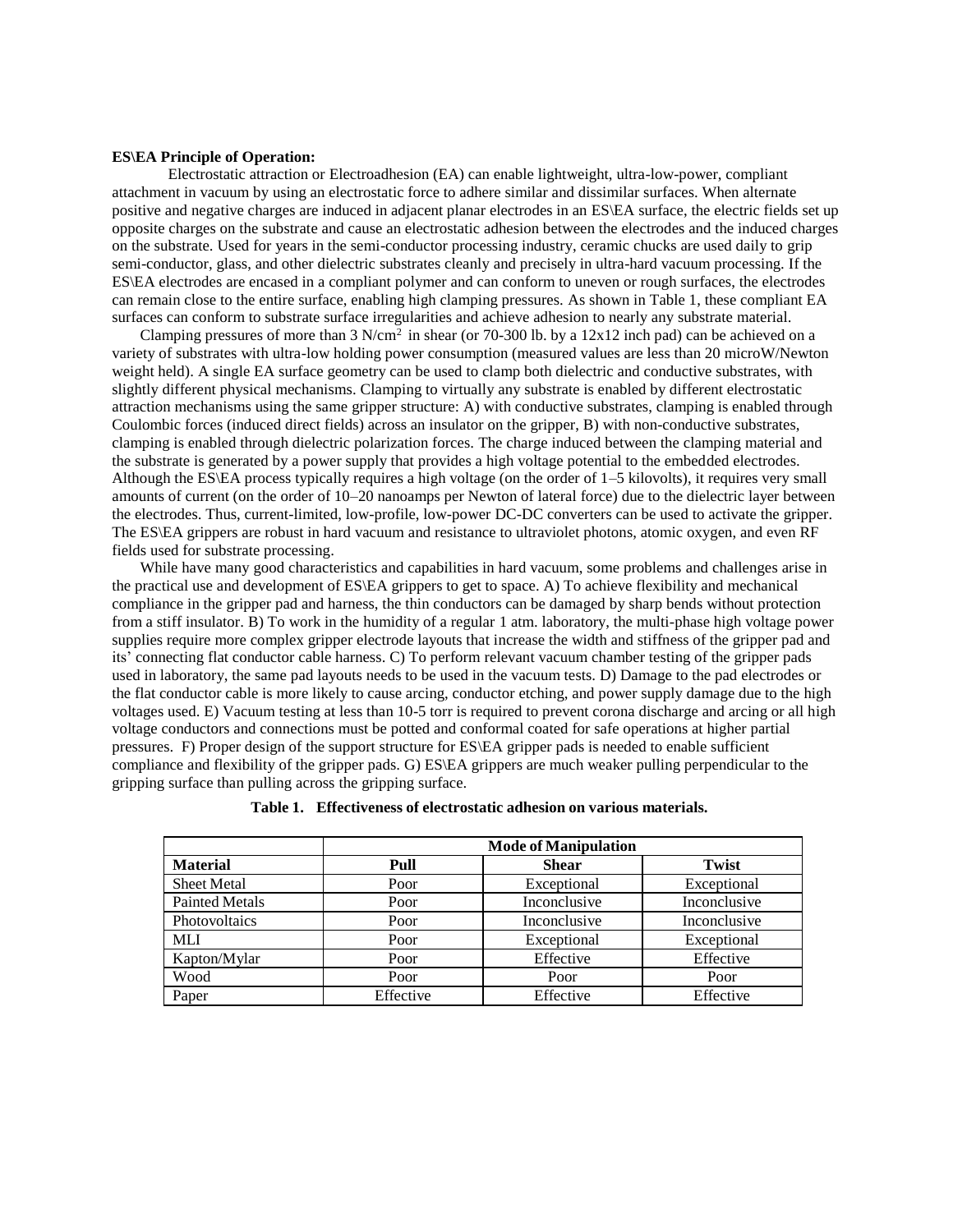#### **ES\EA Principle of Operation:**

Electrostatic attraction or Electroadhesion (EA) can enable lightweight, ultra-low-power, compliant attachment in vacuum by using an electrostatic force to adhere similar and dissimilar surfaces. When alternate positive and negative charges are induced in adjacent planar electrodes in an ES\EA surface, the electric fields set up opposite charges on the substrate and cause an electrostatic adhesion between the electrodes and the induced charges on the substrate. Used for years in the semi-conductor processing industry, ceramic chucks are used daily to grip semi-conductor, glass, and other dielectric substrates cleanly and precisely in ultra-hard vacuum processing. If the ES\EA electrodes are encased in a compliant polymer and can conform to uneven or rough surfaces, the electrodes can remain close to the entire surface, enabling high clamping pressures. As shown in Table 1, these compliant EA surfaces can conform to substrate surface irregularities and achieve adhesion to nearly any substrate material.

Clamping pressures of more than 3 N/cm<sup>2</sup> in shear (or 70-300 lb. by a 12x12 inch pad) can be achieved on a variety of substrates with ultra-low holding power consumption (measured values are less than 20 microW/Newton weight held). A single EA surface geometry can be used to clamp both dielectric and conductive substrates, with slightly different physical mechanisms. Clamping to virtually any substrate is enabled by different electrostatic attraction mechanisms using the same gripper structure: A) with conductive substrates, clamping is enabled through Coulombic forces (induced direct fields) across an insulator on the gripper, B) with non-conductive substrates, clamping is enabled through dielectric polarization forces. The charge induced between the clamping material and the substrate is generated by a power supply that provides a high voltage potential to the embedded electrodes. Although the ES\EA process typically requires a high voltage (on the order of 1–5 kilovolts), it requires very small amounts of current (on the order of 10–20 nanoamps per Newton of lateral force) due to the dielectric layer between the electrodes. Thus, current-limited, low-profile, low-power DC-DC converters can be used to activate the gripper. The ES\EA grippers are robust in hard vacuum and resistance to ultraviolet photons, atomic oxygen, and even RF fields used for substrate processing.

While have many good characteristics and capabilities in hard vacuum, some problems and challenges arise in the practical use and development of ES\EA grippers to get to space. A) To achieve flexibility and mechanical compliance in the gripper pad and harness, the thin conductors can be damaged by sharp bends without protection from a stiff insulator. B) To work in the humidity of a regular 1 atm. laboratory, the multi-phase high voltage power supplies require more complex gripper electrode layouts that increase the width and stiffness of the gripper pad and its' connecting flat conductor cable harness. C) To perform relevant vacuum chamber testing of the gripper pads used in laboratory, the same pad layouts needs to be used in the vacuum tests. D) Damage to the pad electrodes or the flat conductor cable is more likely to cause arcing, conductor etching, and power supply damage due to the high voltages used. E) Vacuum testing at less than 10-5 torr is required to prevent corona discharge and arcing or all high voltage conductors and connections must be potted and conformal coated for safe operations at higher partial pressures. F) Proper design of the support structure for ES\EA gripper pads is needed to enable sufficient compliance and flexibility of the gripper pads. G) ES\EA grippers are much weaker pulling perpendicular to the gripping surface than pulling across the gripping surface.

|                       | <b>Mode of Manipulation</b> |              |              |
|-----------------------|-----------------------------|--------------|--------------|
| <b>Material</b>       | Pull                        | <b>Shear</b> | Twist        |
| <b>Sheet Metal</b>    | Poor                        | Exceptional  | Exceptional  |
| <b>Painted Metals</b> | Poor                        | Inconclusive | Inconclusive |
| Photovoltaics         | Poor                        | Inconclusive | Inconclusive |
| <b>MLI</b>            | Poor                        | Exceptional  | Exceptional  |
| Kapton/Mylar          | Poor                        | Effective    | Effective    |
| Wood                  | Poor                        | Poor         | Poor         |
| Paper                 | Effective                   | Effective    | Effective    |

|  |  |  |  | Table 1. Effectiveness of electrostatic adhesion on various materials. |  |
|--|--|--|--|------------------------------------------------------------------------|--|
|--|--|--|--|------------------------------------------------------------------------|--|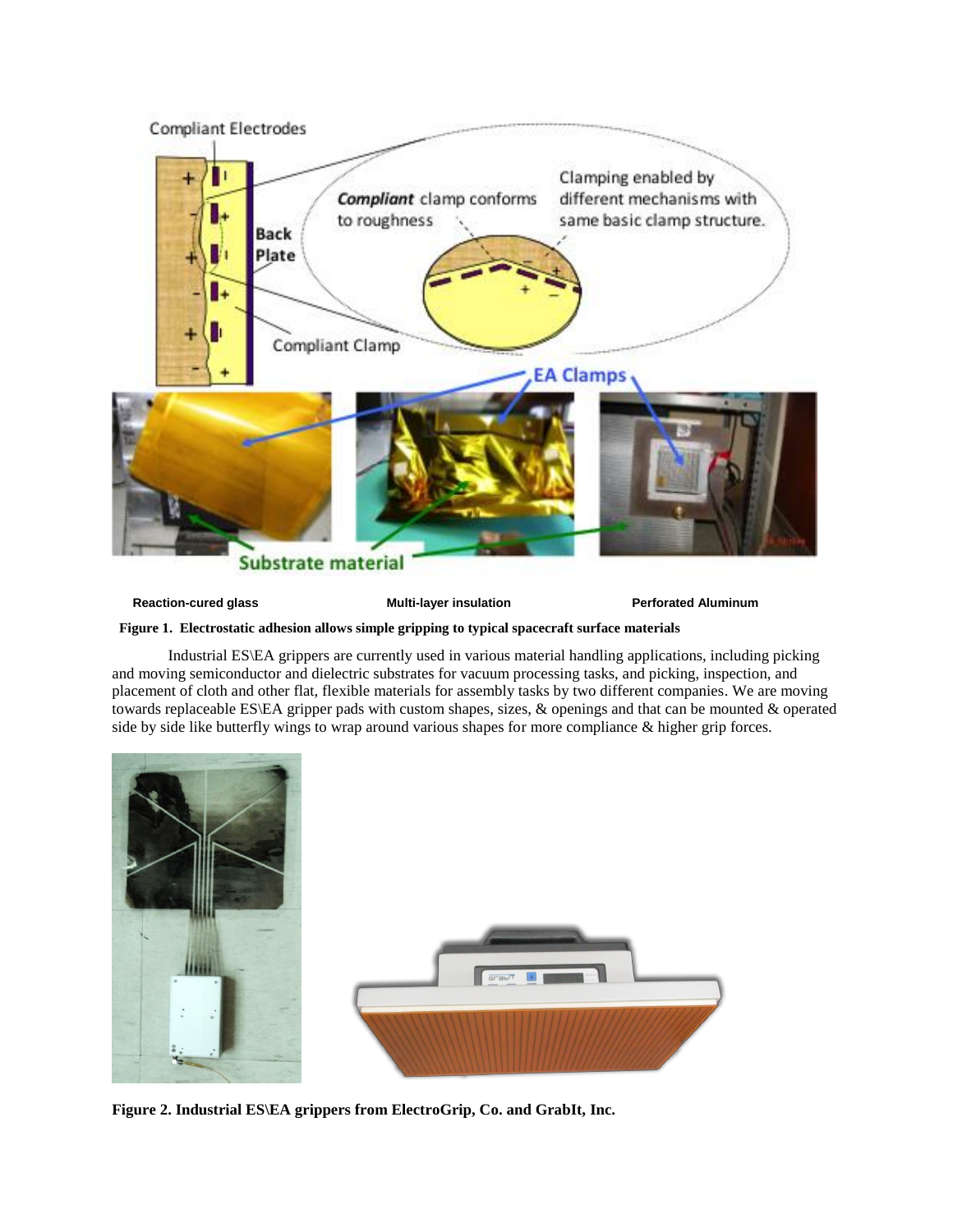

**Reaction-cured glass The Constraint Constraint Multi-layer insulation Perforated Aluminum** 

 **Figure 1. Electrostatic adhesion allows simple gripping to typical spacecraft surface materials**

Industrial ES\EA grippers are currently used in various material handling applications, including picking and moving semiconductor and dielectric substrates for vacuum processing tasks, and picking, inspection, and placement of cloth and other flat, flexible materials for assembly tasks by two different companies. We are moving towards replaceable ES\EA gripper pads with custom shapes, sizes, & openings and that can be mounted & operated side by side like butterfly wings to wrap around various shapes for more compliance & higher grip forces.



**Figure 2. Industrial ES\EA grippers from ElectroGrip, Co. and GrabIt, Inc.**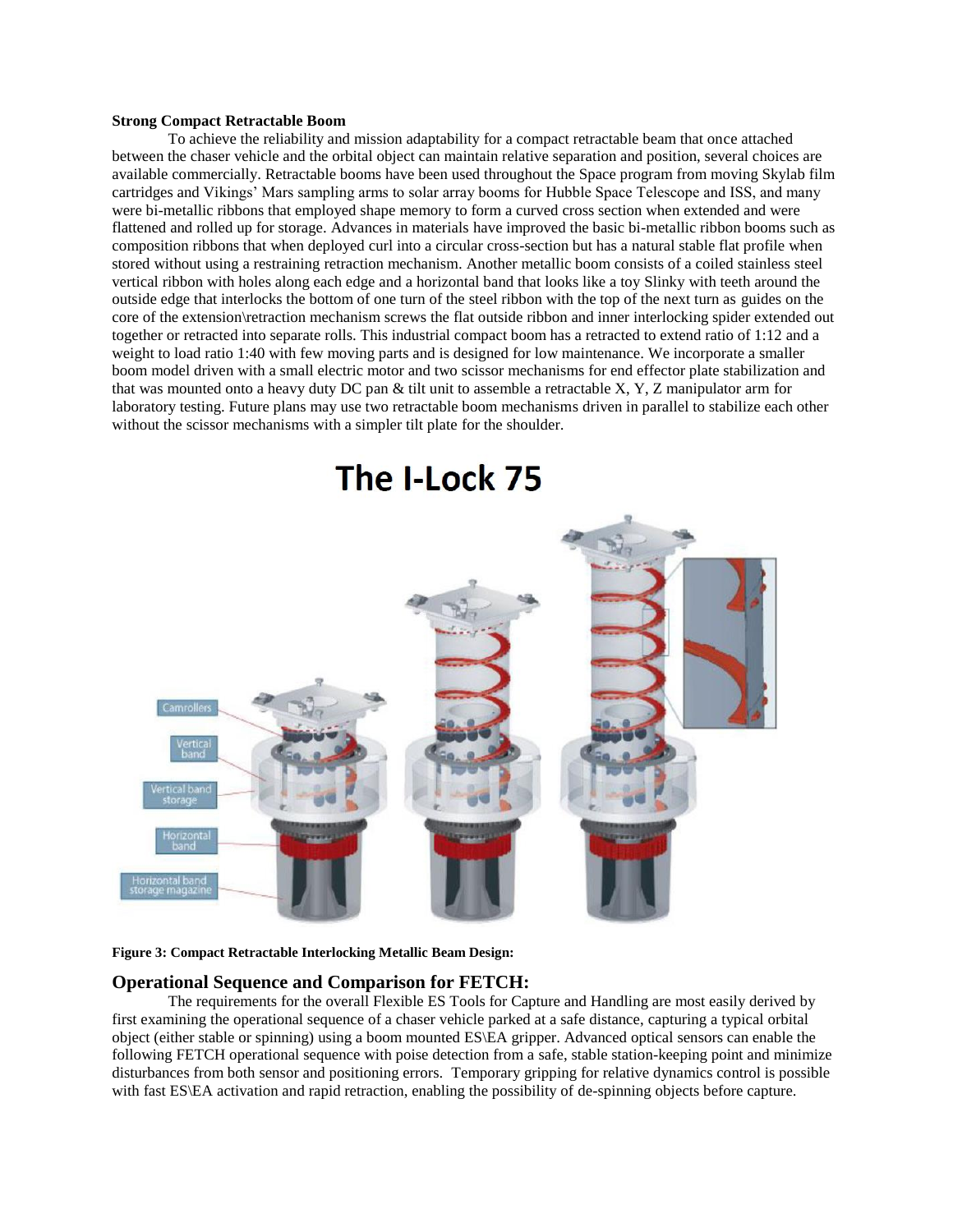### **Strong Compact Retractable Boom**

To achieve the reliability and mission adaptability for a compact retractable beam that once attached between the chaser vehicle and the orbital object can maintain relative separation and position, several choices are available commercially. Retractable booms have been used throughout the Space program from moving Skylab film cartridges and Vikings' Mars sampling arms to solar array booms for Hubble Space Telescope and ISS, and many were bi-metallic ribbons that employed shape memory to form a curved cross section when extended and were flattened and rolled up for storage. Advances in materials have improved the basic bi-metallic ribbon booms such as composition ribbons that when deployed curl into a circular cross-section but has a natural stable flat profile when stored without using a restraining retraction mechanism. Another metallic boom consists of a coiled stainless steel vertical ribbon with holes along each edge and a horizontal band that looks like a toy Slinky with teeth around the outside edge that interlocks the bottom of one turn of the steel ribbon with the top of the next turn as guides on the core of the extension\retraction mechanism screws the flat outside ribbon and inner interlocking spider extended out together or retracted into separate rolls. This industrial compact boom has a retracted to extend ratio of 1:12 and a weight to load ratio 1:40 with few moving parts and is designed for low maintenance. We incorporate a smaller boom model driven with a small electric motor and two scissor mechanisms for end effector plate stabilization and that was mounted onto a heavy duty DC pan & tilt unit to assemble a retractable X, Y, Z manipulator arm for laboratory testing. Future plans may use two retractable boom mechanisms driven in parallel to stabilize each other without the scissor mechanisms with a simpler tilt plate for the shoulder.



#### **Figure 3: Compact Retractable Interlocking Metallic Beam Design:**

## **Operational Sequence and Comparison for FETCH:**

The requirements for the overall Flexible ES Tools for Capture and Handling are most easily derived by first examining the operational sequence of a chaser vehicle parked at a safe distance, capturing a typical orbital object (either stable or spinning) using a boom mounted ES\EA gripper. Advanced optical sensors can enable the following FETCH operational sequence with poise detection from a safe, stable station-keeping point and minimize disturbances from both sensor and positioning errors. Temporary gripping for relative dynamics control is possible with fast ES\EA activation and rapid retraction, enabling the possibility of de-spinning objects before capture.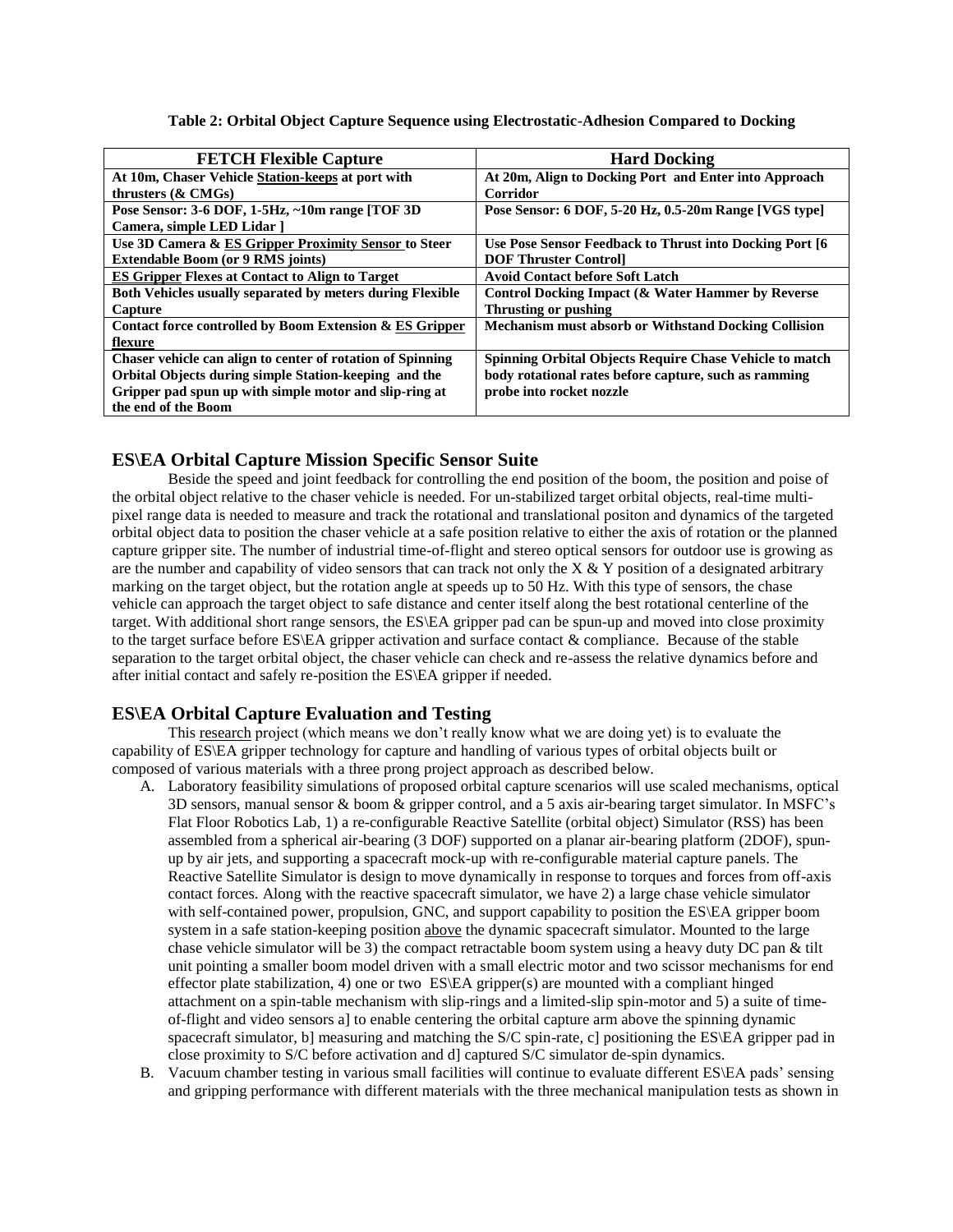**Table 2: Orbital Object Capture Sequence using Electrostatic-Adhesion Compared to Docking**

| <b>FETCH Flexible Capture</b>                                    | <b>Hard Docking</b>                                            |
|------------------------------------------------------------------|----------------------------------------------------------------|
| At 10m, Chaser Vehicle Station-keeps at port with                | At 20m, Align to Docking Port and Enter into Approach          |
| thrusters $(\& CMGs)$                                            | Corridor                                                       |
| Pose Sensor: 3-6 DOF, 1-5Hz, ~10m range [TOF 3D]                 | Pose Sensor: 6 DOF, 5-20 Hz, 0.5-20m Range [VGS type]          |
| Camera, simple LED Lidar ]                                       |                                                                |
| Use 3D Camera & ES Gripper Proximity Sensor to Steer             | Use Pose Sensor Feedback to Thrust into Docking Port [6]       |
| <b>Extendable Boom (or 9 RMS joints)</b>                         | <b>DOF Thruster Controll</b>                                   |
| <b>ES Gripper Flexes at Contact to Align to Target</b>           | <b>Avoid Contact before Soft Latch</b>                         |
| <b>Both Vehicles usually separated by meters during Flexible</b> | Control Docking Impact (& Water Hammer by Reverse              |
| Capture                                                          | Thrusting or pushing                                           |
| Contact force controlled by Boom Extension & ES Gripper          | <b>Mechanism must absorb or Withstand Docking Collision</b>    |
| flexure                                                          |                                                                |
| Chaser vehicle can align to center of rotation of Spinning       | <b>Spinning Orbital Objects Require Chase Vehicle to match</b> |
| Orbital Objects during simple Station-keeping and the            | body rotational rates before capture, such as ramming          |
| Gripper pad spun up with simple motor and slip-ring at           | probe into rocket nozzle                                       |
| the end of the Boom                                              |                                                                |

# **ES\EA Orbital Capture Mission Specific Sensor Suite**

Beside the speed and joint feedback for controlling the end position of the boom, the position and poise of the orbital object relative to the chaser vehicle is needed. For un-stabilized target orbital objects, real-time multipixel range data is needed to measure and track the rotational and translational positon and dynamics of the targeted orbital object data to position the chaser vehicle at a safe position relative to either the axis of rotation or the planned capture gripper site. The number of industrial time-of-flight and stereo optical sensors for outdoor use is growing as are the number and capability of video sensors that can track not only the  $X & Y$  position of a designated arbitrary marking on the target object, but the rotation angle at speeds up to 50 Hz. With this type of sensors, the chase vehicle can approach the target object to safe distance and center itself along the best rotational centerline of the target. With additional short range sensors, the ES\EA gripper pad can be spun-up and moved into close proximity to the target surface before ES\EA gripper activation and surface contact & compliance. Because of the stable separation to the target orbital object, the chaser vehicle can check and re-assess the relative dynamics before and after initial contact and safely re-position the ES\EA gripper if needed.

## **ES\EA Orbital Capture Evaluation and Testing**

This research project (which means we don't really know what we are doing yet) is to evaluate the capability of ES\EA gripper technology for capture and handling of various types of orbital objects built or composed of various materials with a three prong project approach as described below.

- A. Laboratory feasibility simulations of proposed orbital capture scenarios will use scaled mechanisms, optical 3D sensors, manual sensor & boom & gripper control, and a 5 axis air-bearing target simulator. In MSFC's Flat Floor Robotics Lab, 1) a re-configurable Reactive Satellite (orbital object) Simulator (RSS) has been assembled from a spherical air-bearing (3 DOF) supported on a planar air-bearing platform (2DOF), spunup by air jets, and supporting a spacecraft mock-up with re-configurable material capture panels. The Reactive Satellite Simulator is design to move dynamically in response to torques and forces from off-axis contact forces. Along with the reactive spacecraft simulator, we have 2) a large chase vehicle simulator with self-contained power, propulsion, GNC, and support capability to position the ES\EA gripper boom system in a safe station-keeping position above the dynamic spacecraft simulator. Mounted to the large chase vehicle simulator will be 3) the compact retractable boom system using a heavy duty DC pan & tilt unit pointing a smaller boom model driven with a small electric motor and two scissor mechanisms for end effector plate stabilization, 4) one or two ES\EA gripper(s) are mounted with a compliant hinged attachment on a spin-table mechanism with slip-rings and a limited-slip spin-motor and 5) a suite of timeof-flight and video sensors a] to enable centering the orbital capture arm above the spinning dynamic spacecraft simulator, b] measuring and matching the S/C spin-rate, c] positioning the ES\EA gripper pad in close proximity to S/C before activation and d] captured S/C simulator de-spin dynamics.
- B. Vacuum chamber testing in various small facilities will continue to evaluate different ES\EA pads' sensing and gripping performance with different materials with the three mechanical manipulation tests as shown in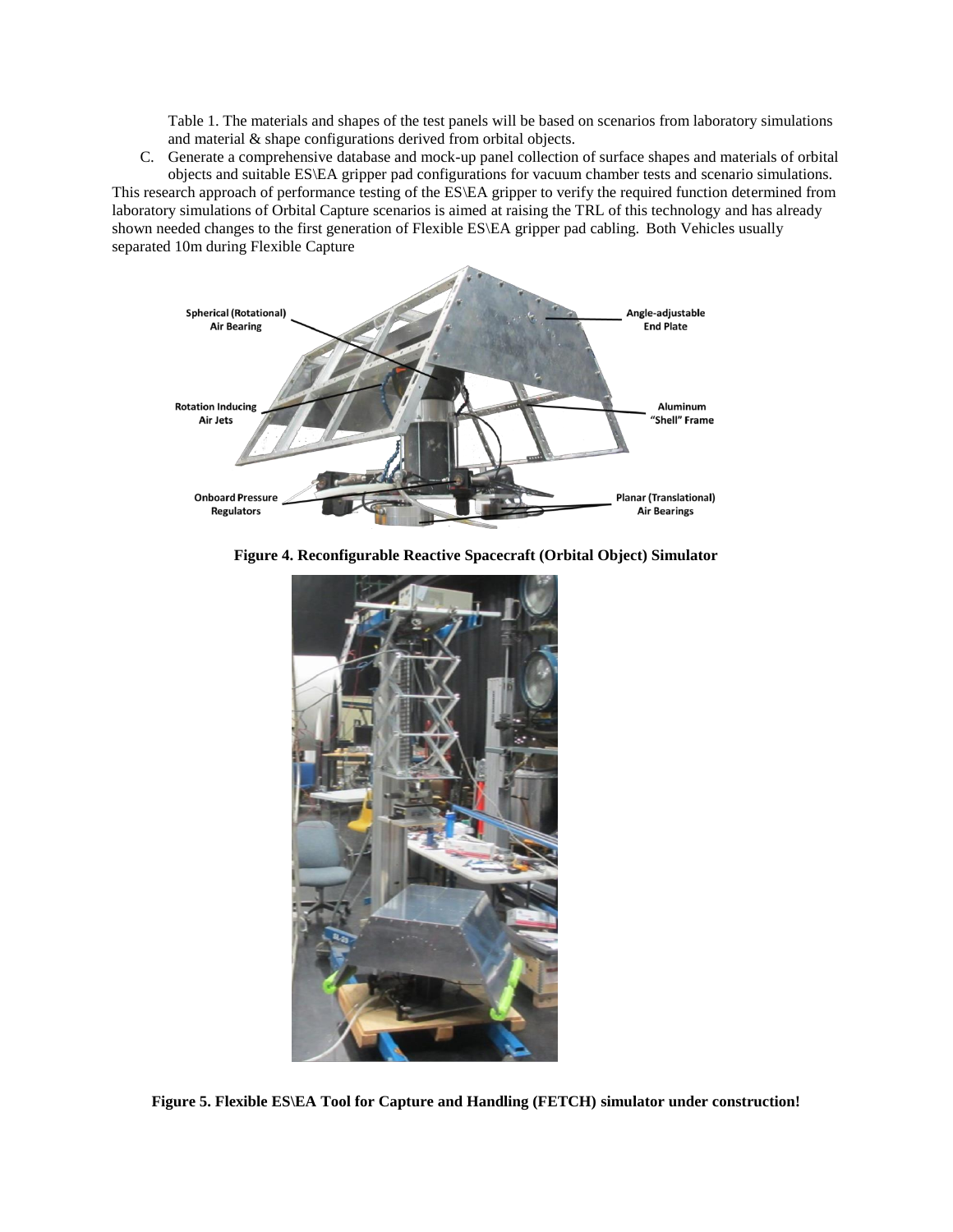Table 1. The materials and shapes of the test panels will be based on scenarios from laboratory simulations and material & shape configurations derived from orbital objects.

C. Generate a comprehensive database and mock-up panel collection of surface shapes and materials of orbital objects and suitable ES\EA gripper pad configurations for vacuum chamber tests and scenario simulations.

This research approach of performance testing of the ES\EA gripper to verify the required function determined from laboratory simulations of Orbital Capture scenarios is aimed at raising the TRL of this technology and has already shown needed changes to the first generation of Flexible ES\EA gripper pad cabling. Both Vehicles usually separated 10m during Flexible Capture



**Figure 4. Reconfigurable Reactive Spacecraft (Orbital Object) Simulator**



**Figure 5. Flexible ES\EA Tool for Capture and Handling (FETCH) simulator under construction!**